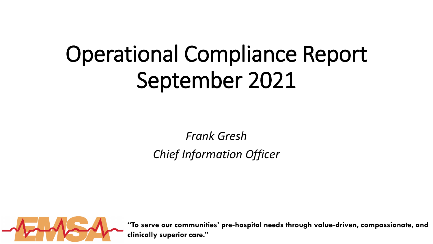# Operational Compliance Report September 2021

*Frank Gresh Chief Information Officer*



**"To serve our communities' pre**‐**hospital needs through value**‐**driven, compassionate, and clinically superior care."**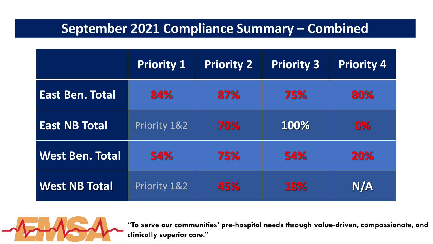# **September 2021 Compliance Summary – Combined**

|                        | Priority 1              | <b>Priority 2</b> | <b>Priority 3</b> | <b>Priority 4</b> |
|------------------------|-------------------------|-------------------|-------------------|-------------------|
| <b>East Ben. Total</b> | 84%                     | 87%               | 75%               | 80%               |
| <b>East NB Total</b>   | Priority 1&2            | 70%               | 100%              | 0%                |
| <b>West Ben. Total</b> | 54%                     | 75%               | 54%               | <b>20%</b>        |
| <b>West NB Total</b>   | <b>Priority 1&amp;2</b> | 45%               | <b>18%</b>        | N/A               |



**"To serve our communities' pre**‐**hospital needs through value**‐**driven, compassionate, and clinically superior care."**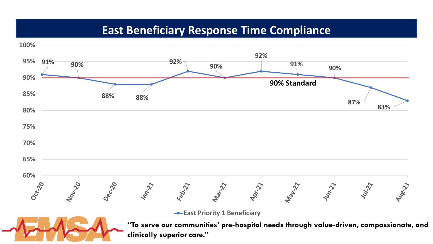## **East Beneficiary Response Time Compliance**

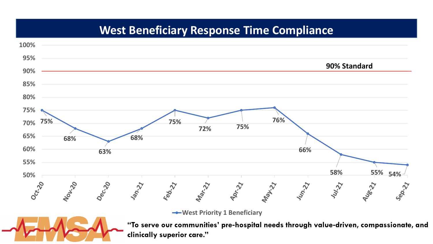# **West Beneficiary Response Time Compliance**

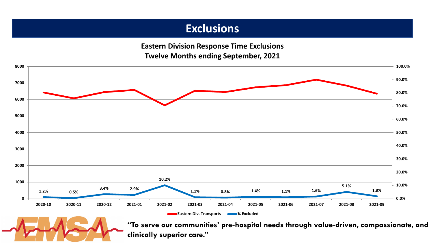## **Exclusions**

**Eastern Division Response Time Exclusions Twelve Months ending September, 2021**